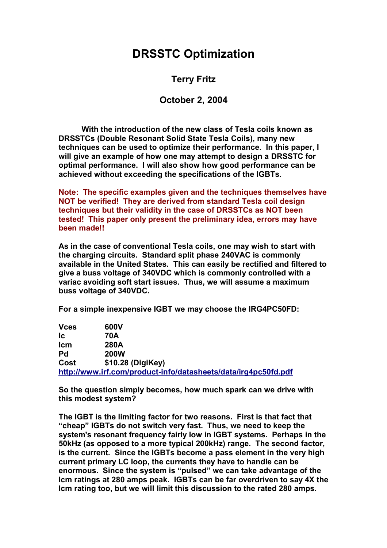## **DRSSTC Optimization**

**Terry Fritz**

## **October 2, 2004**

**With the introduction of the new class of Tesla coils known as DRSSTCs (Double Resonant Solid State Tesla Coils), many new techniques can be used to optimize their performance. In this paper, I will give an example of how one may attempt to design a DRSSTC for optimal performance. I will also show how good performance can be achieved without exceeding the specifications of the IGBTs.**

**Note: The specific examples given and the techniques themselves have NOT be verified! They are derived from standard Tesla coil design techniques but their validity in the case of DRSSTCs as NOT been tested! This paper only present the preliminary idea, errors may have been made!!**

**As in the case of conventional Tesla coils, one may wish to start with the charging circuits. Standard split phase 240VAC is commonly available in the United States. This can easily be rectified and filtered to give a buss voltage of 340VDC which is commonly controlled with a variac avoiding soft start issues. Thus, we will assume a maximum buss voltage of 340VDC.**

**For a simple inexpensive IGBT we may choose the IRG4PC50FD:**

| <b>Vces</b> | 600V                                                           |
|-------------|----------------------------------------------------------------|
| lc          | 70A                                                            |
| <b>Icm</b>  | 280A                                                           |
| Pd          | <b>200W</b>                                                    |
| Cost        | \$10.28 (DigiKey)                                              |
|             | http://www.irf.com/product-info/datasheets/data/irg4pc50fd.pdf |

**So the question simply becomes, how much spark can we drive with this modest system?**

**The IGBT is the limiting factor for two reasons. First is that fact that "cheap" IGBTs do not switch very fast. Thus, we need to keep the system's resonant frequency fairly low in IGBT systems. Perhaps in the 50kHz (as opposed to a more typical 200kHz) range. The second factor, is the current. Since the IGBTs become a pass element in the very high current primary LC loop, the currents they have to handle can be enormous. Since the system is "pulsed" we can take advantage of the Icm ratings at 280 amps peak. IGBTs can be far overdriven to say 4X the Icm rating too, but we will limit this discussion to the rated 280 amps.**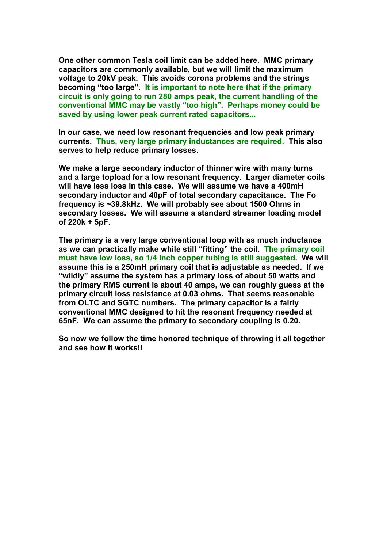**One other common Tesla coil limit can be added here. MMC primary capacitors are commonly available, but we will limit the maximum voltage to 20kV peak. This avoids corona problems and the strings becoming "too large". It is important to note here that if the primary circuit is only going to run 280 amps peak, the current handling of the conventional MMC may be vastly "too high". Perhaps money could be saved by using lower peak current rated capacitors...**

**In our case, we need low resonant frequencies and low peak primary currents. Thus, very large primary inductances are required. This also serves to help reduce primary losses.**

**We make a large secondary inductor of thinner wire with many turns and a large topload for a low resonant frequency. Larger diameter coils will have less loss in this case. We will assume we have a 400mH secondary inductor and 40pF of total secondary capacitance. The Fo frequency is ~39.8kHz. We will probably see about 1500 Ohms in secondary losses. We will assume a standard streamer loading model of 220k + 5pF.**

**The primary is a very large conventional loop with as much inductance as we can practically make while still "fitting" the coil. The primary coil must have low loss, so 1/4 inch copper tubing is still suggested. We will assume this is a 250mH primary coil that is adjustable as needed. If we "wildly" assume the system has a primary loss of about 50 watts and the primary RMS current is about 40 amps, we can roughly guess at the primary circuit loss resistance at 0.03 ohms. That seems reasonable from OLTC and SGTC numbers. The primary capacitor is a fairly conventional MMC designed to hit the resonant frequency needed at 65nF. We can assume the primary to secondary coupling is 0.20.**

**So now we follow the time honored technique of throwing it all together and see how it works!!**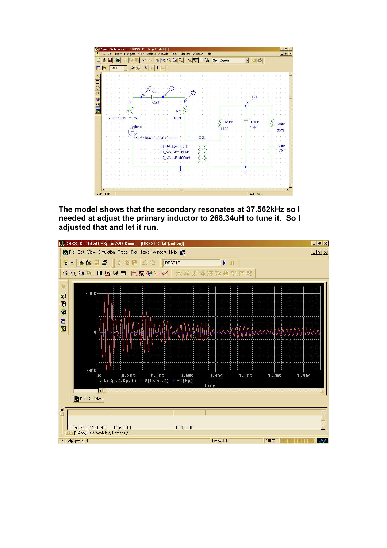

**The model shows that the secondary resonates at 37.562kHz so I needed at adjust the primary inductor to 268.34uH to tune it. So I adjusted that and let it run.**

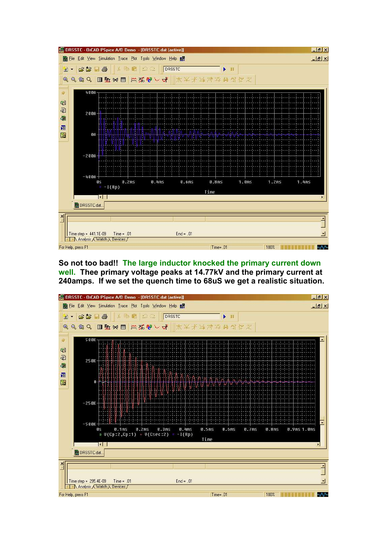

**So not too bad!! The large inductor knocked the primary current down well. Thee primary voltage peaks at 14.77kV and the primary current at 240amps. If we set the quench time to 68uS we get a realistic situation.**

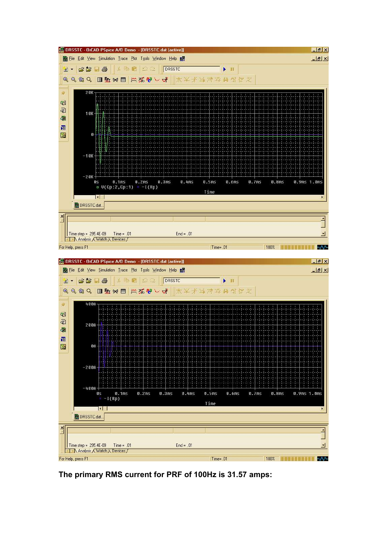

**The primary RMS current for PRF of 100Hz is 31.57 amps:**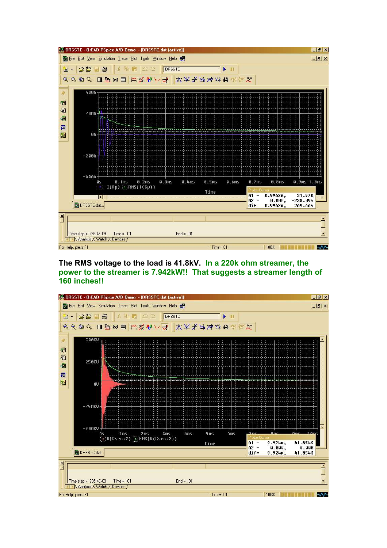

**The RMS voltage to the load is 41.8kV. In a 220k ohm streamer, the power to the streamer is 7.942kW!! That suggests a streamer length of 160 inches!!**